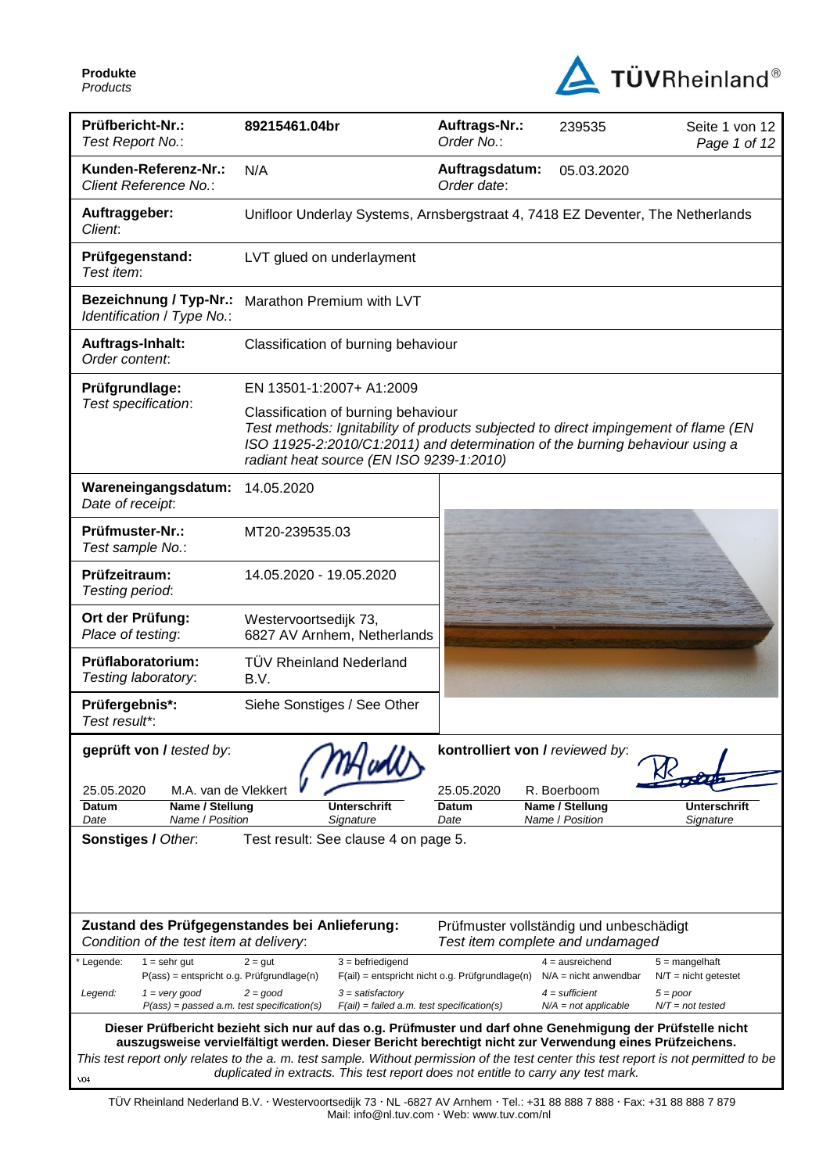**Produkte** *Products*



| Prüfbericht-Nr.:<br>Test Report No.:                                              | 89215461.04br                                                                                                                                                                                                                                          | Auftrags-Nr.:<br>Order No.:                                                 | 239535                                        | Seite 1 von 12<br>Page 1 of 12             |
|-----------------------------------------------------------------------------------|--------------------------------------------------------------------------------------------------------------------------------------------------------------------------------------------------------------------------------------------------------|-----------------------------------------------------------------------------|-----------------------------------------------|--------------------------------------------|
| Kunden-Referenz-Nr.:<br>Client Reference No.:                                     | N/A                                                                                                                                                                                                                                                    | Auftragsdatum:<br>Order date:                                               | 05.03.2020                                    |                                            |
| Auftraggeber:<br>Client:                                                          | Unifloor Underlay Systems, Arnsbergstraat 4, 7418 EZ Deventer, The Netherlands                                                                                                                                                                         |                                                                             |                                               |                                            |
| Prüfgegenstand:<br>Test item:                                                     | LVT glued on underlayment                                                                                                                                                                                                                              |                                                                             |                                               |                                            |
| <b>Bezeichnung / Typ-Nr.:</b><br>Identification / Type No.:                       | Marathon Premium with LVT                                                                                                                                                                                                                              |                                                                             |                                               |                                            |
| Auftrags-Inhalt:<br>Order content:                                                | Classification of burning behaviour                                                                                                                                                                                                                    |                                                                             |                                               |                                            |
| Prüfgrundlage:                                                                    | EN 13501-1:2007+ A1:2009                                                                                                                                                                                                                               |                                                                             |                                               |                                            |
| Test specification:                                                               | Classification of burning behaviour<br>Test methods: Ignitability of products subjected to direct impingement of flame (EN<br>ISO 11925-2:2010/C1:2011) and determination of the burning behaviour using a<br>radiant heat source (EN ISO 9239-1:2010) |                                                                             |                                               |                                            |
| Wareneingangsdatum:<br>Date of receipt:                                           | 14.05.2020                                                                                                                                                                                                                                             |                                                                             |                                               |                                            |
| Prüfmuster-Nr.:<br>Test sample No.:                                               | MT20-239535.03                                                                                                                                                                                                                                         |                                                                             |                                               |                                            |
| Prüfzeitraum:<br>Testing period:                                                  | 14.05.2020 - 19.05.2020                                                                                                                                                                                                                                |                                                                             |                                               |                                            |
| Ort der Prüfung:<br>Place of testing:                                             | Westervoortsedijk 73,<br>6827 AV Arnhem, Netherlands                                                                                                                                                                                                   |                                                                             |                                               |                                            |
| Prüflaboratorium:<br>Testing laboratory:                                          | <b>TÜV Rheinland Nederland</b><br>B.V.                                                                                                                                                                                                                 |                                                                             |                                               |                                            |
| Prüfergebnis*:<br>Test result*:                                                   | Siehe Sonstiges / See Other                                                                                                                                                                                                                            |                                                                             |                                               |                                            |
| geprüft von / tested by:                                                          |                                                                                                                                                                                                                                                        | kontrolliert von / reviewed by:                                             |                                               |                                            |
| 25.05.2020<br>M.A. van de Vlekkert                                                |                                                                                                                                                                                                                                                        | 25.05.2020                                                                  | R. Boerboom                                   |                                            |
| Name / Stellung<br>Datum<br>Name / Position<br>Date                               | Unterschrift<br>Sianature                                                                                                                                                                                                                              | Datum<br>Date                                                               | Name / Stellung<br>Name / Position            | <b>Unterschrift</b><br>Signature           |
| Sonstiges / Other.                                                                | Test result: See clause 4 on page 5.                                                                                                                                                                                                                   |                                                                             |                                               |                                            |
|                                                                                   |                                                                                                                                                                                                                                                        |                                                                             |                                               |                                            |
| Condition of the test item at delivery:                                           | Zustand des Prüfgegenstandes bei Anlieferung:                                                                                                                                                                                                          | Prüfmuster vollständig und unbeschädigt<br>Test item complete and undamaged |                                               |                                            |
| Legende:<br>$1 =$ sehr gut<br>P(ass) = entspricht o.g. Prüfgrundlage(n)           | $3 = \text{before}$<br>$2 = gut$                                                                                                                                                                                                                       | $F(ai)$ = entspricht nicht o.g. Prüfgrundlage(n)                            | $4 = a$ usreichend<br>$N/A$ = nicht anwendbar | $5 =$ mangelhaft<br>$N/T =$ nicht getestet |
| $1 = \text{very good}$<br>Legend:<br>$P(ass) = passed a.m. test specification(s)$ | $2 = good$<br>$3 =$ satisfactory<br>$F(ai) = failed a.m. test specification(s)$                                                                                                                                                                        |                                                                             | $4 =$ sufficient<br>$N/A = not$ applicable    | $5 = poor$<br>$N/T = not tested$           |
|                                                                                   | Dieser Prüfbericht bezieht sich nur auf das o.g. Prüfmuster und darf ohne Genehmigung der Prüfstelle nicht                                                                                                                                             |                                                                             |                                               |                                            |
|                                                                                   | auszugsweise vervielfältigt werden. Dieser Bericht berechtigt nicht zur Verwendung eines Prüfzeichens.<br>This test report only relates to the a. m. test sample. Without permission of the test center this test report is not permitted to be        |                                                                             |                                               |                                            |
| V <sub>04</sub>                                                                   | duplicated in extracts. This test report does not entitle to carry any test mark.                                                                                                                                                                      |                                                                             |                                               |                                            |

TÜV Rheinland Nederland B.V. Westervoortsedijk 73 NL -6827 AV Arnhem Tel.: +31 88 888 7 888 Fax: +31 88 888 7 879 Mail: info@nl.tuv.com · Web: www.tuv.com/nl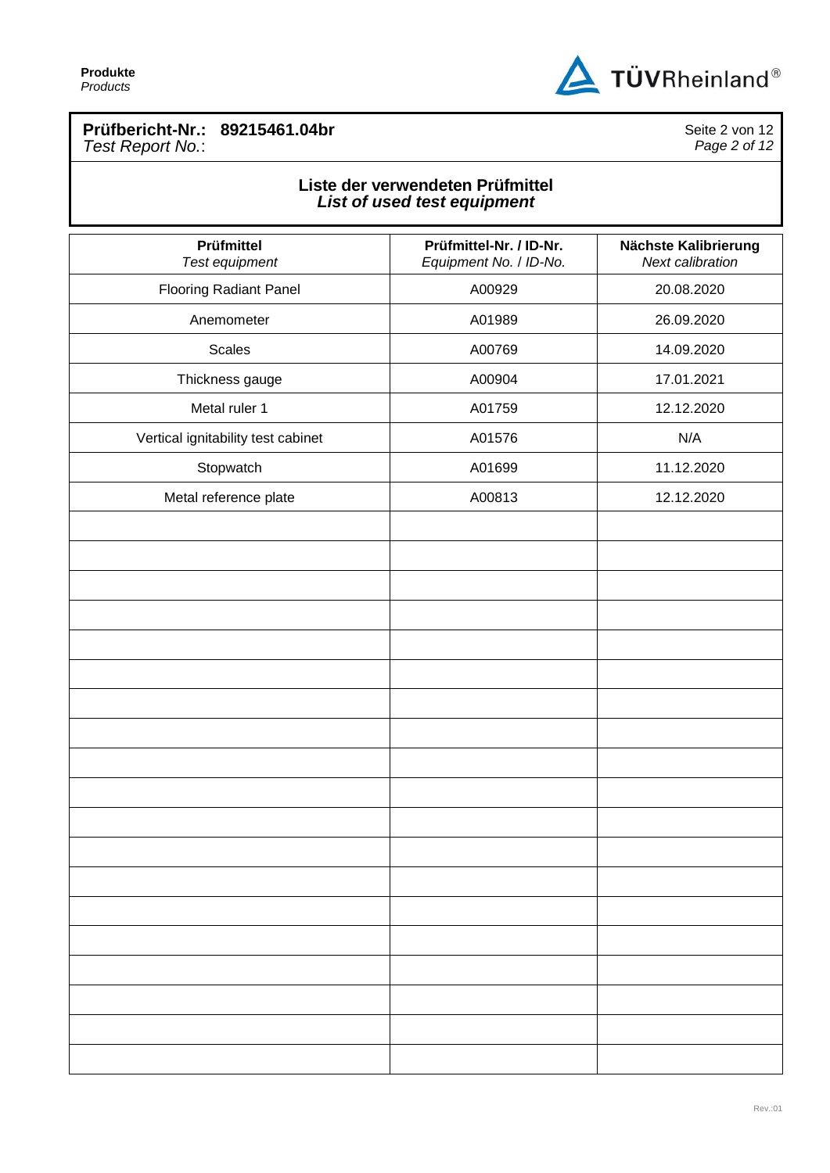

## **Prüfbericht-Nr.: 89215461.04br** *Test Report No.*:

Seite 2 von 12 *Page 2 of 12*

## **Liste der verwendeten Prüfmittel** *List of used test equipment*

| Prüfmittel<br>Test equipment       | Prüfmittel-Nr. / ID-Nr.<br>Equipment No. / ID-No. | Nächste Kalibrierung<br>Next calibration |
|------------------------------------|---------------------------------------------------|------------------------------------------|
| <b>Flooring Radiant Panel</b>      | A00929                                            | 20.08.2020                               |
| Anemometer                         | A01989                                            | 26.09.2020                               |
| <b>Scales</b>                      | A00769                                            | 14.09.2020                               |
| Thickness gauge                    | A00904                                            | 17.01.2021                               |
| Metal ruler 1                      | A01759                                            | 12.12.2020                               |
| Vertical ignitability test cabinet | A01576                                            | N/A                                      |
| Stopwatch                          | A01699                                            | 11.12.2020                               |
| Metal reference plate              | A00813                                            | 12.12.2020                               |
|                                    |                                                   |                                          |
|                                    |                                                   |                                          |
|                                    |                                                   |                                          |
|                                    |                                                   |                                          |
|                                    |                                                   |                                          |
|                                    |                                                   |                                          |
|                                    |                                                   |                                          |
|                                    |                                                   |                                          |
|                                    |                                                   |                                          |
|                                    |                                                   |                                          |
|                                    |                                                   |                                          |
|                                    |                                                   |                                          |
|                                    |                                                   |                                          |
|                                    |                                                   |                                          |
|                                    |                                                   |                                          |
|                                    |                                                   |                                          |
|                                    |                                                   |                                          |
|                                    |                                                   |                                          |
|                                    |                                                   |                                          |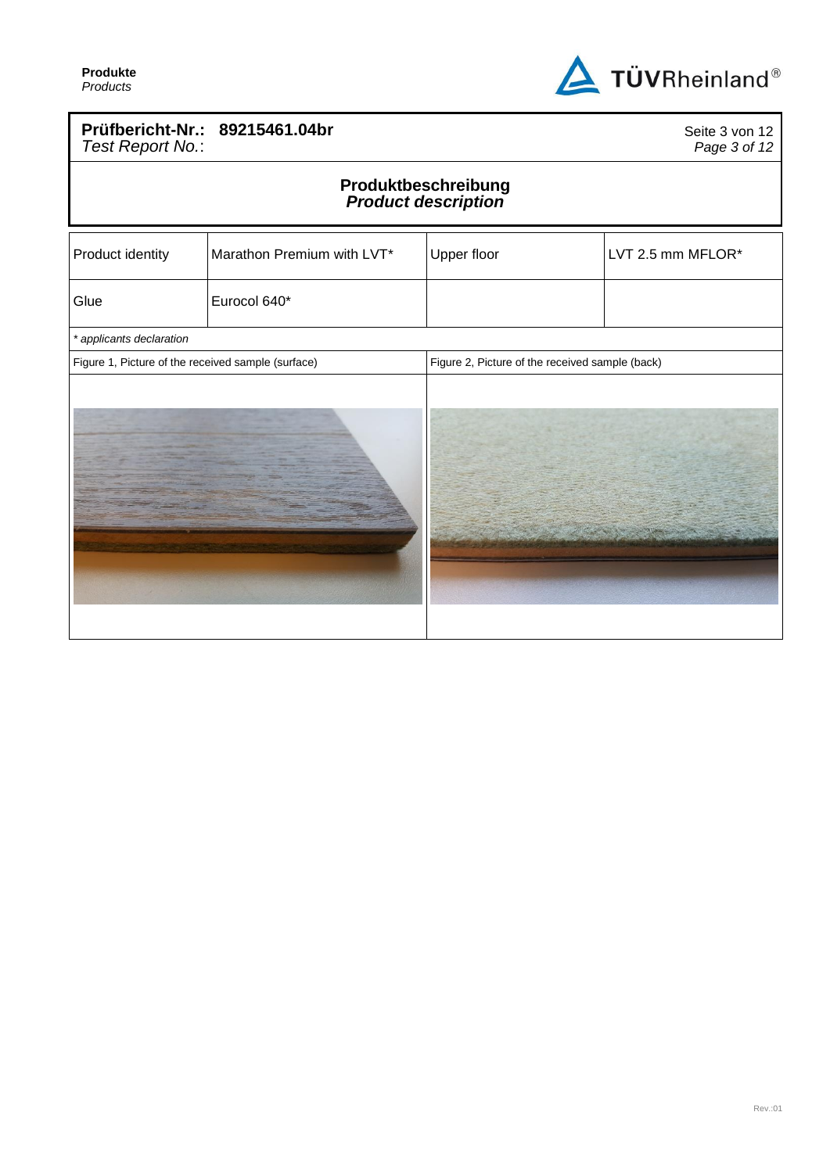

### **Prüfbericht-Nr.: 89215461.04br** *Test Report No.*:

Seite 3 von 12 *Page 3 of 12*

#### **Produktbeschreibung** *Product description*

| Product identity                                   | Marathon Premium with LVT* | Upper floor                                     | LVT 2.5 mm MFLOR* |
|----------------------------------------------------|----------------------------|-------------------------------------------------|-------------------|
| Glue                                               | Eurocol 640*               |                                                 |                   |
| * applicants declaration                           |                            |                                                 |                   |
| Figure 1, Picture of the received sample (surface) |                            | Figure 2, Picture of the received sample (back) |                   |
|                                                    |                            |                                                 |                   |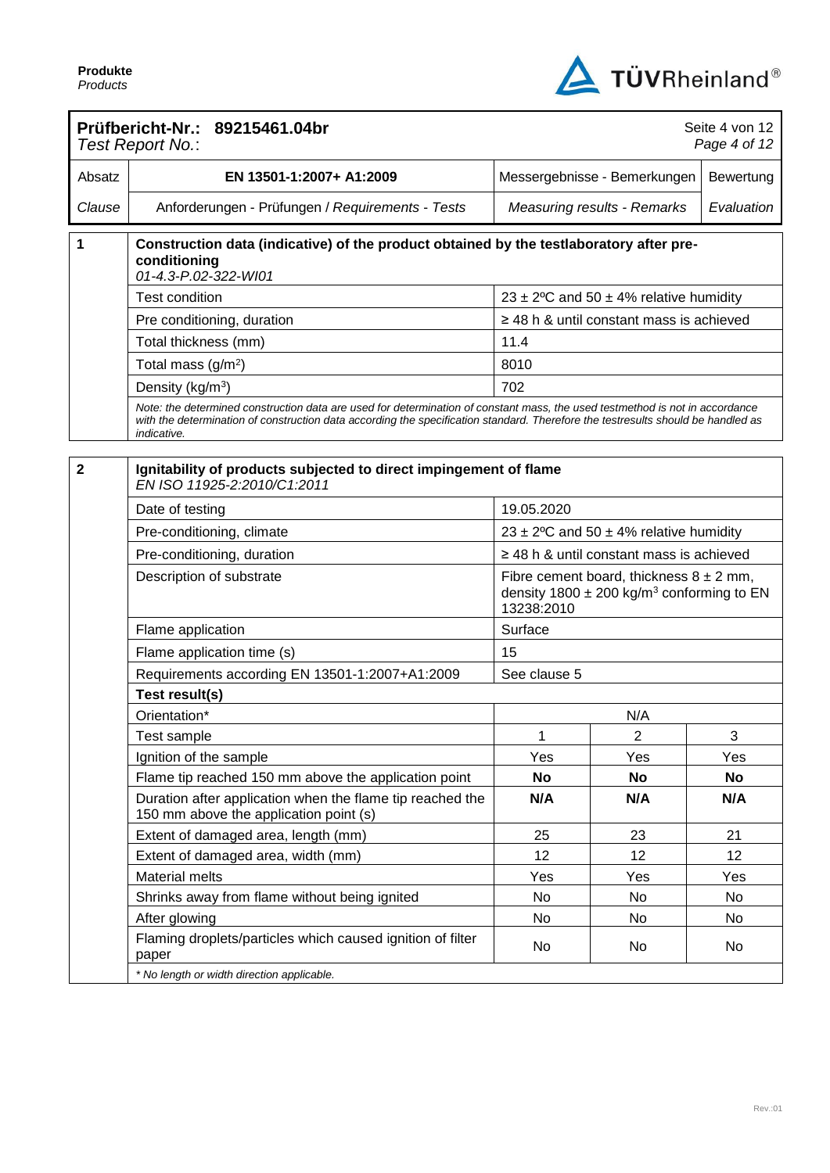

|                | Prüfbericht-Nr.: 89215461.04br<br>Test Report No.:                                                                                                                                                                                                                              |                                                                                                                        |                                               | Seite 4 von 12<br>Page 4 of 12 |
|----------------|---------------------------------------------------------------------------------------------------------------------------------------------------------------------------------------------------------------------------------------------------------------------------------|------------------------------------------------------------------------------------------------------------------------|-----------------------------------------------|--------------------------------|
| Absatz         | EN 13501-1:2007+ A1:2009                                                                                                                                                                                                                                                        |                                                                                                                        | Messergebnisse - Bemerkungen                  | Bewertung                      |
| Clause         | Anforderungen - Prüfungen / Requirements - Tests                                                                                                                                                                                                                                |                                                                                                                        | <b>Measuring results - Remarks</b>            | Evaluation                     |
| 1              | Construction data (indicative) of the product obtained by the testlaboratory after pre-<br>conditioning<br>01-4.3-P.02-322-WI01                                                                                                                                                 |                                                                                                                        |                                               |                                |
|                | Test condition                                                                                                                                                                                                                                                                  |                                                                                                                        | 23 ± 2°C and 50 ± 4% relative humidity        |                                |
|                | Pre conditioning, duration                                                                                                                                                                                                                                                      |                                                                                                                        | $\geq$ 48 h & until constant mass is achieved |                                |
|                | Total thickness (mm)                                                                                                                                                                                                                                                            | 11.4                                                                                                                   |                                               |                                |
|                | Total mass (g/m <sup>2</sup> )                                                                                                                                                                                                                                                  | 8010                                                                                                                   |                                               |                                |
|                | Density (kg/m <sup>3</sup> )                                                                                                                                                                                                                                                    | 702                                                                                                                    |                                               |                                |
|                | Note: the determined construction data are used for determination of constant mass, the used testmethod is not in accordance<br>with the determination of construction data according the specification standard. Therefore the testresults should be handled as<br>indicative. |                                                                                                                        |                                               |                                |
|                |                                                                                                                                                                                                                                                                                 |                                                                                                                        |                                               |                                |
| $\overline{2}$ | Ignitability of products subjected to direct impingement of flame<br>EN ISO 11925-2.2010/C1.2011                                                                                                                                                                                |                                                                                                                        |                                               |                                |
|                | Date of testing                                                                                                                                                                                                                                                                 | 19.05.2020                                                                                                             |                                               |                                |
|                | Pre-conditioning, climate                                                                                                                                                                                                                                                       |                                                                                                                        | 23 ± 2°C and 50 ± 4% relative humidity        |                                |
|                | Pre-conditioning, duration                                                                                                                                                                                                                                                      |                                                                                                                        | $\geq$ 48 h & until constant mass is achieved |                                |
|                | Description of substrate                                                                                                                                                                                                                                                        | Fibre cement board, thickness $8 \pm 2$ mm,<br>density 1800 $\pm$ 200 kg/m <sup>3</sup> conforming to EN<br>13238:2010 |                                               |                                |
|                | Flame application                                                                                                                                                                                                                                                               | Surface                                                                                                                |                                               |                                |
|                | Flame application time (s)                                                                                                                                                                                                                                                      | 15                                                                                                                     |                                               |                                |
|                | Requirements according EN 13501-1:2007+A1:2009                                                                                                                                                                                                                                  | See clause 5                                                                                                           |                                               |                                |
|                | Test result(s)                                                                                                                                                                                                                                                                  |                                                                                                                        |                                               |                                |
|                | Orientation*                                                                                                                                                                                                                                                                    |                                                                                                                        | N/A                                           |                                |
|                | Test sample                                                                                                                                                                                                                                                                     | 1                                                                                                                      | $\overline{c}$                                | 3                              |
|                | Ignition of the sample                                                                                                                                                                                                                                                          | Yes                                                                                                                    | Yes                                           | Yes                            |
|                | Flame tip reached 150 mm above the application point                                                                                                                                                                                                                            | <b>No</b>                                                                                                              | <b>No</b>                                     | <b>No</b>                      |
|                | Duration after application when the flame tip reached the<br>150 mm above the application point (s)                                                                                                                                                                             | N/A                                                                                                                    | N/A                                           | N/A                            |
|                | Extent of damaged area, length (mm)                                                                                                                                                                                                                                             | 25                                                                                                                     | 23                                            | 21                             |
|                | Extent of damaged area, width (mm)                                                                                                                                                                                                                                              | 12                                                                                                                     | 12                                            | 12                             |
|                | <b>Material melts</b>                                                                                                                                                                                                                                                           | Yes                                                                                                                    | Yes                                           | Yes                            |
|                | Shrinks away from flame without being ignited                                                                                                                                                                                                                                   | No                                                                                                                     | No                                            | No                             |
|                | After glowing                                                                                                                                                                                                                                                                   | No                                                                                                                     | No                                            | No                             |
|                | Flaming droplets/particles which caused ignition of filter<br>paper                                                                                                                                                                                                             | No                                                                                                                     | No                                            | No                             |
|                | * No length or width direction applicable.                                                                                                                                                                                                                                      |                                                                                                                        |                                               |                                |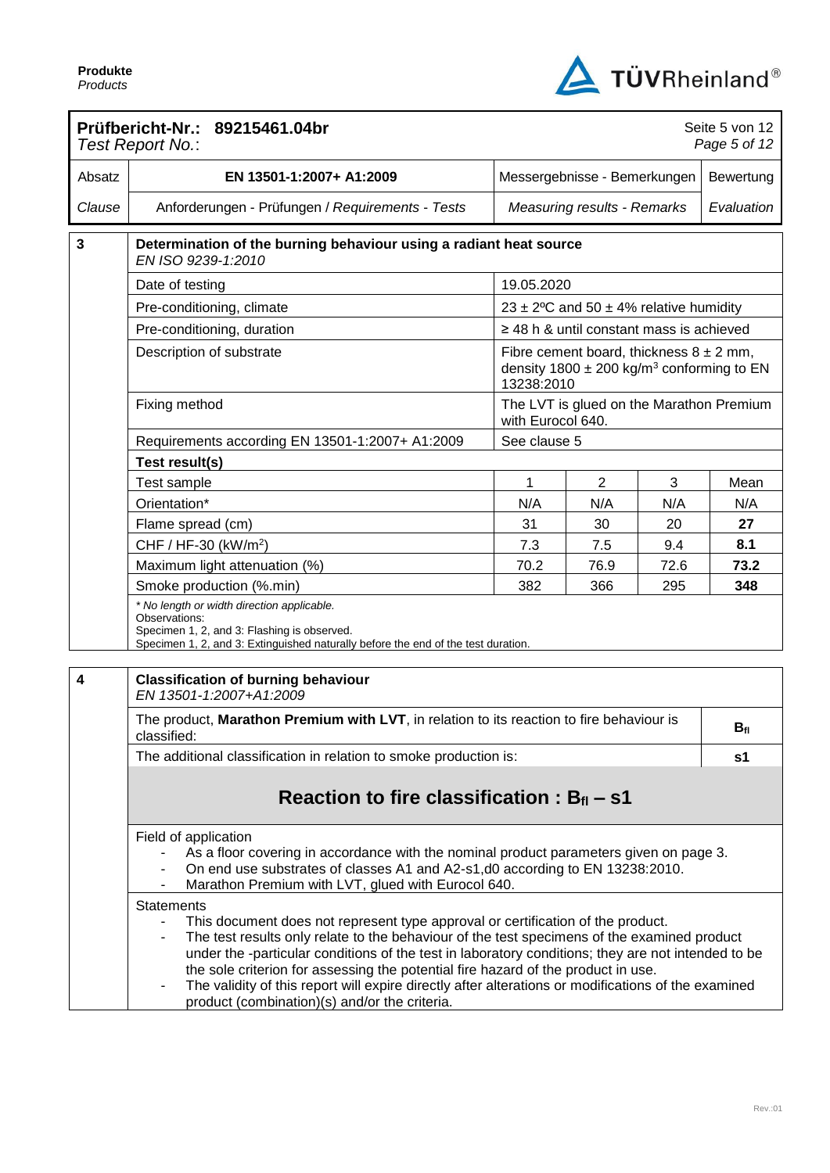

|        | Prüfbericht-Nr.: 89215461.04br<br>Test Report No.:                                                                                                                                                                                                                                                                                                                                                                                                                                                                                                                                                   |                                                               |                                                                                                          |            | Seite 5 von 12<br>Page 5 of 12 |  |
|--------|------------------------------------------------------------------------------------------------------------------------------------------------------------------------------------------------------------------------------------------------------------------------------------------------------------------------------------------------------------------------------------------------------------------------------------------------------------------------------------------------------------------------------------------------------------------------------------------------------|---------------------------------------------------------------|----------------------------------------------------------------------------------------------------------|------------|--------------------------------|--|
| Absatz | EN 13501-1:2007+ A1:2009                                                                                                                                                                                                                                                                                                                                                                                                                                                                                                                                                                             | Messergebnisse - Bemerkungen                                  |                                                                                                          |            | Bewertung                      |  |
| Clause | Anforderungen - Prüfungen / Requirements - Tests                                                                                                                                                                                                                                                                                                                                                                                                                                                                                                                                                     | <b>Measuring results - Remarks</b>                            |                                                                                                          | Evaluation |                                |  |
| 3      | Determination of the burning behaviour using a radiant heat source<br>EN ISO 9239-1:2010                                                                                                                                                                                                                                                                                                                                                                                                                                                                                                             |                                                               |                                                                                                          |            |                                |  |
|        | Date of testing                                                                                                                                                                                                                                                                                                                                                                                                                                                                                                                                                                                      | 19.05.2020                                                    |                                                                                                          |            |                                |  |
|        | Pre-conditioning, climate                                                                                                                                                                                                                                                                                                                                                                                                                                                                                                                                                                            |                                                               | 23 ± 2°C and 50 ± 4% relative humidity                                                                   |            |                                |  |
|        | Pre-conditioning, duration                                                                                                                                                                                                                                                                                                                                                                                                                                                                                                                                                                           |                                                               | $\geq$ 48 h & until constant mass is achieved                                                            |            |                                |  |
|        | Description of substrate                                                                                                                                                                                                                                                                                                                                                                                                                                                                                                                                                                             | 13238:2010                                                    | Fibre cement board, thickness $8 \pm 2$ mm,<br>density 1800 $\pm$ 200 kg/m <sup>3</sup> conforming to EN |            |                                |  |
|        | Fixing method                                                                                                                                                                                                                                                                                                                                                                                                                                                                                                                                                                                        | The LVT is glued on the Marathon Premium<br>with Eurocol 640. |                                                                                                          |            |                                |  |
|        | Requirements according EN 13501-1:2007+ A1:2009                                                                                                                                                                                                                                                                                                                                                                                                                                                                                                                                                      | See clause 5                                                  |                                                                                                          |            |                                |  |
|        | Test result(s)                                                                                                                                                                                                                                                                                                                                                                                                                                                                                                                                                                                       |                                                               |                                                                                                          |            |                                |  |
|        | Test sample                                                                                                                                                                                                                                                                                                                                                                                                                                                                                                                                                                                          | 1                                                             | $\overline{2}$                                                                                           | 3          | Mean                           |  |
|        | Orientation*                                                                                                                                                                                                                                                                                                                                                                                                                                                                                                                                                                                         | N/A                                                           | N/A                                                                                                      | N/A        | N/A                            |  |
|        | Flame spread (cm)                                                                                                                                                                                                                                                                                                                                                                                                                                                                                                                                                                                    | 31                                                            | 30                                                                                                       | 20         | 27                             |  |
|        | CHF / HF-30 (kW/m <sup>2</sup> )                                                                                                                                                                                                                                                                                                                                                                                                                                                                                                                                                                     | 7.3                                                           | 7.5                                                                                                      | 9.4        | 8.1                            |  |
|        | Maximum light attenuation (%)                                                                                                                                                                                                                                                                                                                                                                                                                                                                                                                                                                        | 70.2                                                          | 76.9                                                                                                     | 72.6       | 73.2                           |  |
|        | Smoke production (%.min)                                                                                                                                                                                                                                                                                                                                                                                                                                                                                                                                                                             | 382                                                           | 366                                                                                                      | 295        | 348                            |  |
|        | * No length or width direction applicable.<br>Observations:<br>Specimen 1, 2, and 3: Flashing is observed.<br>Specimen 1, 2, and 3: Extinguished naturally before the end of the test duration.                                                                                                                                                                                                                                                                                                                                                                                                      |                                                               |                                                                                                          |            |                                |  |
| 4      | <b>Classification of burning behaviour</b><br>EN 13501-1:2007+A1:2009                                                                                                                                                                                                                                                                                                                                                                                                                                                                                                                                |                                                               |                                                                                                          |            |                                |  |
|        | The product, Marathon Premium with LVT, in relation to its reaction to fire behaviour is<br>classified:                                                                                                                                                                                                                                                                                                                                                                                                                                                                                              |                                                               |                                                                                                          |            | $B_{fl}$                       |  |
|        | The additional classification in relation to smoke production is:                                                                                                                                                                                                                                                                                                                                                                                                                                                                                                                                    |                                                               |                                                                                                          |            | s1                             |  |
|        | Reaction to fire classification : $B_{fl}$ – s1                                                                                                                                                                                                                                                                                                                                                                                                                                                                                                                                                      |                                                               |                                                                                                          |            |                                |  |
|        | Field of application<br>As a floor covering in accordance with the nominal product parameters given on page 3.<br>On end use substrates of classes A1 and A2-s1,d0 according to EN 13238:2010.<br>Marathon Premium with LVT, glued with Eurocol 640.                                                                                                                                                                                                                                                                                                                                                 |                                                               |                                                                                                          |            |                                |  |
|        | <b>Statements</b><br>This document does not represent type approval or certification of the product.<br>$\blacksquare$<br>The test results only relate to the behaviour of the test specimens of the examined product<br>$\overline{\phantom{a}}$<br>under the -particular conditions of the test in laboratory conditions; they are not intended to be<br>the sole criterion for assessing the potential fire hazard of the product in use.<br>The validity of this report will expire directly after alterations or modifications of the examined<br>product (combination)(s) and/or the criteria. |                                                               |                                                                                                          |            |                                |  |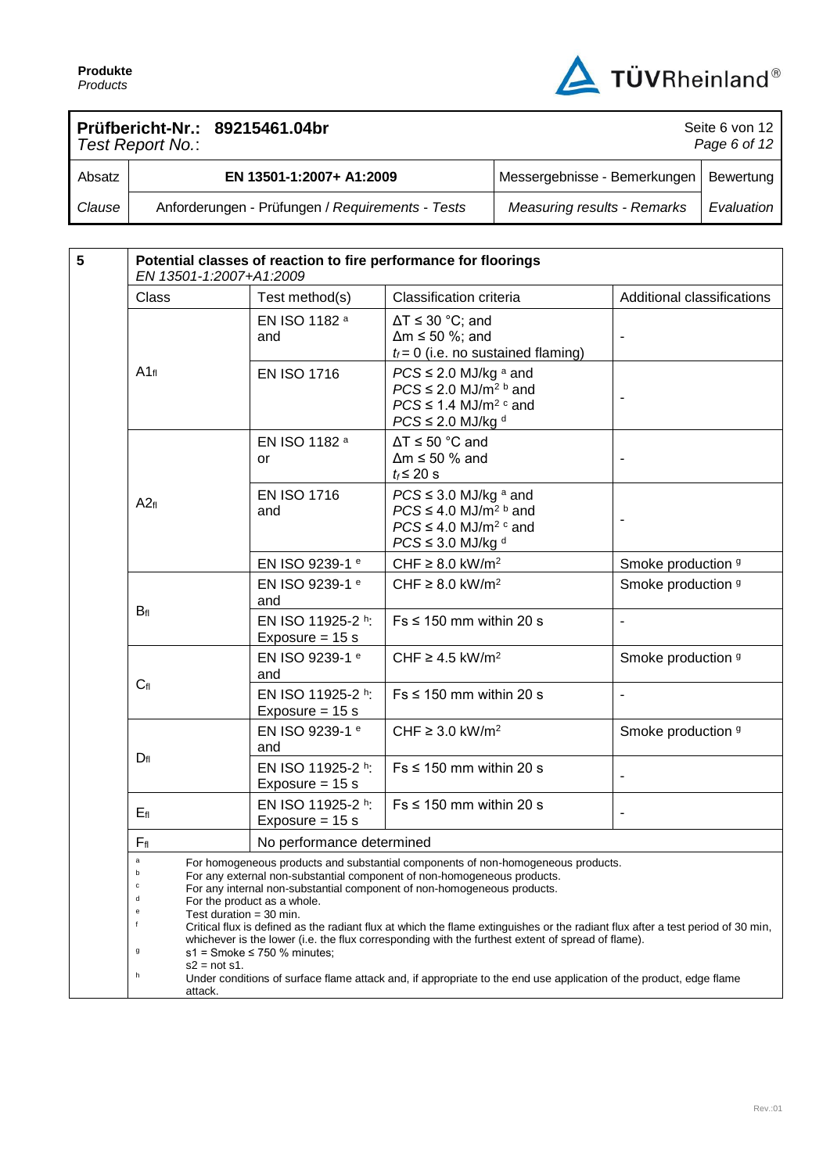

Seite 6 von 12

## **Prüfbericht-Nr.: 89215461.04br**

| Page 6 of 12<br>Test Report No.: |                                                  |                                          |            |  |
|----------------------------------|--------------------------------------------------|------------------------------------------|------------|--|
| Absatz                           | EN 13501-1:2007+ A1:2009                         | Messergebnisse - Bemerkungen   Bewertung |            |  |
| Clause                           | Anforderungen - Prüfungen / Requirements - Tests | <b>Measuring results - Remarks</b>       | Evaluation |  |

| $5\phantom{1}$ | EN 13501-1:2007+A1:2009                                                                                                                                                                                                                                                                                                                                                                                                                                                                                                                                                                                                |                                        | Potential classes of reaction to fire performance for floorings                                                                                       |                              |
|----------------|------------------------------------------------------------------------------------------------------------------------------------------------------------------------------------------------------------------------------------------------------------------------------------------------------------------------------------------------------------------------------------------------------------------------------------------------------------------------------------------------------------------------------------------------------------------------------------------------------------------------|----------------------------------------|-------------------------------------------------------------------------------------------------------------------------------------------------------|------------------------------|
|                | Class                                                                                                                                                                                                                                                                                                                                                                                                                                                                                                                                                                                                                  | Test method(s)                         | Classification criteria                                                                                                                               | Additional classifications   |
|                |                                                                                                                                                                                                                                                                                                                                                                                                                                                                                                                                                                                                                        | EN ISO 1182 a<br>and                   | $\Delta T \leq 30$ °C; and<br>$\Delta m \le 50$ %; and<br>$t_f = 0$ (i.e. no sustained flaming)                                                       |                              |
|                | $A1_{fl}$                                                                                                                                                                                                                                                                                                                                                                                                                                                                                                                                                                                                              | <b>EN ISO 1716</b>                     | $PCS \leq 2.0$ MJ/kg $a$ and<br>$PCS \leq 2.0$ MJ/m <sup>2 b</sup> and<br>$PCS \leq 1.4$ MJ/m <sup>2 c</sup> and<br>$PCS \leq 2.0$ MJ/kg <sup>d</sup> |                              |
|                |                                                                                                                                                                                                                                                                                                                                                                                                                                                                                                                                                                                                                        | EN ISO 1182 a<br>or                    | $\Delta T \le 50$ °C and<br>$\Delta m \le 50$ % and<br>$t_f \leq 20$ s                                                                                |                              |
|                | A2f1                                                                                                                                                                                                                                                                                                                                                                                                                                                                                                                                                                                                                   | <b>EN ISO 1716</b><br>and              | $PCS \leq 3.0$ MJ/kg a and<br>$PCS \leq 4.0$ MJ/m <sup>2 b</sup> and<br>$PCS \leq 4.0$ MJ/m <sup>2 c</sup> and<br>$PCS \leq 3.0$ MJ/kg d              |                              |
|                |                                                                                                                                                                                                                                                                                                                                                                                                                                                                                                                                                                                                                        | EN ISO 9239-1 e                        | CHF $\geq$ 8.0 kW/m <sup>2</sup>                                                                                                                      | Smoke production 9           |
|                |                                                                                                                                                                                                                                                                                                                                                                                                                                                                                                                                                                                                                        | EN ISO 9239-1 e<br>and                 | CHF $\geq$ 8.0 kW/m <sup>2</sup>                                                                                                                      | Smoke production 9           |
|                | $B_{fl}$                                                                                                                                                                                                                                                                                                                                                                                                                                                                                                                                                                                                               | EN ISO 11925-2 h:<br>Exposure = $15 s$ | $Fs \leq 150$ mm within 20 s                                                                                                                          | $\overline{\phantom{a}}$     |
|                |                                                                                                                                                                                                                                                                                                                                                                                                                                                                                                                                                                                                                        | EN ISO 9239-1 e<br>and                 | CHF $\geq$ 4.5 kW/m <sup>2</sup>                                                                                                                      | Smoke production 9           |
|                | $C_{fl}$                                                                                                                                                                                                                                                                                                                                                                                                                                                                                                                                                                                                               | EN ISO 11925-2 h:<br>Exposure = $15 s$ | $Fs \leq 150$ mm within 20 s                                                                                                                          | $\blacksquare$               |
|                |                                                                                                                                                                                                                                                                                                                                                                                                                                                                                                                                                                                                                        | EN ISO 9239-1 e<br>and                 | CHF $\geq$ 3.0 kW/m <sup>2</sup>                                                                                                                      | Smoke production 9           |
|                | $D_{fl}$                                                                                                                                                                                                                                                                                                                                                                                                                                                                                                                                                                                                               | EN ISO 11925-2 h:<br>Exposure = $15 s$ | $Fs \leq 150$ mm within 20 s                                                                                                                          |                              |
|                | $E_{fl}$                                                                                                                                                                                                                                                                                                                                                                                                                                                                                                                                                                                                               | EN ISO 11925-2 h:<br>Exposure = $15 s$ | $Fs \leq 150$ mm within 20 s                                                                                                                          | $\qquad \qquad \blacksquare$ |
|                | $F_{\rm fl}$                                                                                                                                                                                                                                                                                                                                                                                                                                                                                                                                                                                                           | No performance determined              |                                                                                                                                                       |                              |
|                | $\mathsf a$<br>For homogeneous products and substantial components of non-homogeneous products.<br>For any external non-substantial component of non-homogeneous products.<br>c<br>For any internal non-substantial component of non-homogeneous products.<br>d<br>For the product as a whole.<br>e<br>Test duration = 30 min.<br>f<br>Critical flux is defined as the radiant flux at which the flame extinguishes or the radiant flux after a test period of 30 min,<br>whichever is the lower (i.e. the flux corresponding with the furthest extent of spread of flame).<br>g<br>$s1$ = Smoke $\leq$ 750 % minutes; |                                        |                                                                                                                                                       |                              |
|                | $s2 = not s1$ .<br>h<br>attack.                                                                                                                                                                                                                                                                                                                                                                                                                                                                                                                                                                                        |                                        | Under conditions of surface flame attack and, if appropriate to the end use application of the product, edge flame                                    |                              |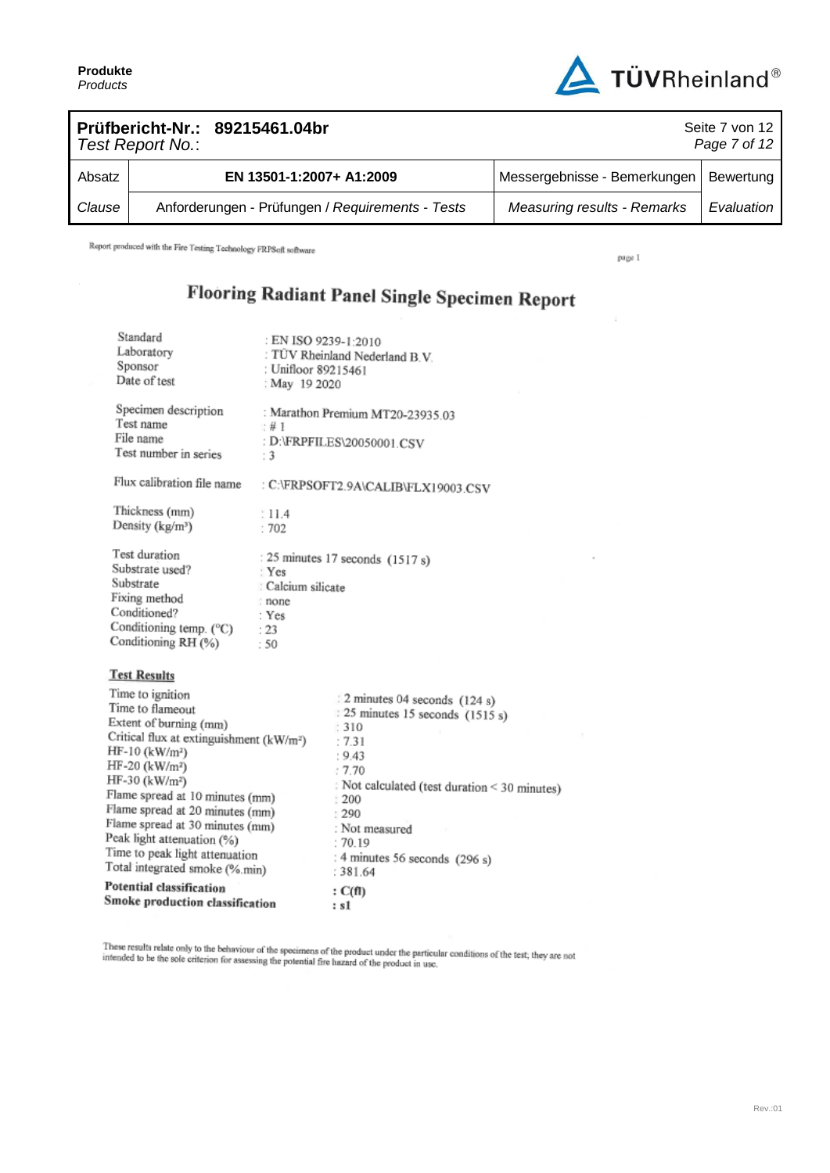**Produkte** *Products*



| Prüfbericht-Nr.: 89215461.04br<br>Seite 7 von 12<br>Page 7 of 12<br>Test Report No.: |  |                                                  |                                          |            |
|--------------------------------------------------------------------------------------|--|--------------------------------------------------|------------------------------------------|------------|
| Absatz                                                                               |  | EN 13501-1:2007+ A1:2009                         | Messergebnisse - Bemerkungen   Bewertung |            |
| Clause                                                                               |  | Anforderungen - Prüfungen / Requirements - Tests | <b>Measuring results - Remarks</b>       | Evaluation |

Report produced with the Fire Testing Technology FRPSoft software

page I

 $\bar{z}$ 

ï

# Flooring Radiant Panel Single Specimen Report

| Standard<br>Laboratory<br>Sponsor<br>Date of test                                                                                                                                                                                                                                                                                                                                                                             | : EN ISO 9239-1:2010<br>: Unifloor 89215461<br>: May 19 2020 | : TÜV Rheinland Nederland B.V.                                                                                                                                                                                                                  |
|-------------------------------------------------------------------------------------------------------------------------------------------------------------------------------------------------------------------------------------------------------------------------------------------------------------------------------------------------------------------------------------------------------------------------------|--------------------------------------------------------------|-------------------------------------------------------------------------------------------------------------------------------------------------------------------------------------------------------------------------------------------------|
| Specimen description<br>Test name<br>File name<br>Test number in series                                                                                                                                                                                                                                                                                                                                                       | ∵#1<br>:3                                                    | : Marathon Premium MT20-23935.03<br>: D:\FRPFILES\20050001.CSV                                                                                                                                                                                  |
| Flux calibration file name                                                                                                                                                                                                                                                                                                                                                                                                    |                                                              | : C:\FRPSOFT2.9A\CALIB\FLX19003.CSV                                                                                                                                                                                                             |
| Thickness (mm)<br>Density (kg/m <sup>3</sup> )                                                                                                                                                                                                                                                                                                                                                                                | 11.4<br>:702                                                 |                                                                                                                                                                                                                                                 |
| Test duration<br>Substrate used?<br>Substrate<br>Fixing method<br>Conditioned?<br>Conditioning temp. (°C)<br>Conditioning RH (%)                                                                                                                                                                                                                                                                                              | Yes<br>: Calcium silicate<br>: none<br>: Yes<br>: 23<br>:50  | : 25 minutes 17 seconds $(1517 s)$                                                                                                                                                                                                              |
| <b>Test Results</b>                                                                                                                                                                                                                                                                                                                                                                                                           |                                                              |                                                                                                                                                                                                                                                 |
| Time to ignition<br>Time to flameout<br>Extent of burning (mm)<br>Critical flux at extinguishment (kW/m <sup>2</sup> )<br>$HF-10$ (kW/m <sup>2</sup> )<br>HF-20 (kW/m <sup>2</sup> )<br>HF-30 (kW/m <sup>2</sup> )<br>Flame spread at 10 minutes (mm)<br>Flame spread at 20 minutes (mm)<br>Flame spread at 30 minutes (mm)<br>Peak light attenuation (%)<br>Time to peak light attenuation<br>Total integrated smoke (%.min) |                                                              | 2 minutes 04 seconds (124 s)<br>25 minutes 15 seconds (1515 s)<br>: 310<br>:7.31<br>: 9.43<br>17.70<br>: Not calculated (test duration < 30 minutes)<br>1200<br>: 290<br>: Not measured<br>:70.19<br>: 4 minutes 56 seconds (296 s)<br>: 381.64 |
| Potential classification<br>Smoke production classification                                                                                                                                                                                                                                                                                                                                                                   |                                                              | : C(f)<br>: s1                                                                                                                                                                                                                                  |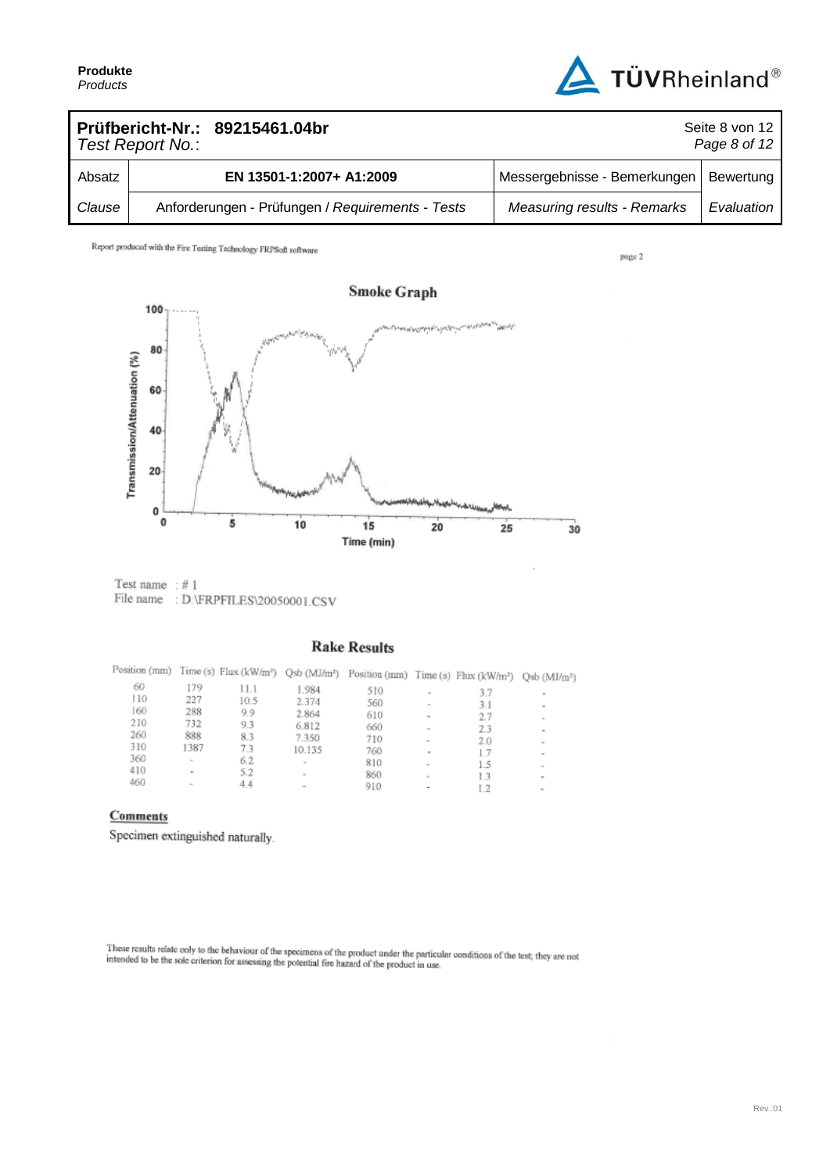

| Prüfbericht-Nr.: 89215461.04br<br>Seite 8 von 12<br>Page 8 of 12<br>Test Report No.: |  |                                                  |                                    |            |
|--------------------------------------------------------------------------------------|--|--------------------------------------------------|------------------------------------|------------|
| Absatz                                                                               |  | EN 13501-1:2007+ A1:2009                         | Messergebnisse - Bemerkungen       | Bewertung  |
| Clause                                                                               |  | Anforderungen - Prüfungen / Requirements - Tests | <b>Measuring results - Remarks</b> | Evaluation |

page 2



Test name  $: #1$ File name : D:\FRPFILES\20050001.CSV

#### **Rake Results**

| Position (mm) |        | Time (s) Flux (kW/m <sup>2</sup> ) Qsb (MJ/m <sup>2</sup> ) |                          | Position (mm) Time (s) $Flux (kWhm3)$ |                          |     | $Qsb$ ( $MJ/m2$ ) |
|---------------|--------|-------------------------------------------------------------|--------------------------|---------------------------------------|--------------------------|-----|-------------------|
| 60            | 179    | 11.1                                                        | 1.984                    | 510                                   | $\sim$                   | 3.7 | $\approx$         |
| 110           | 227    | 10.5                                                        | 2.374                    | 560                                   |                          | 3.1 | $\mathbf{r}$      |
| 160           | 288    | 9.9                                                         | 2.864                    | 610                                   | $\,$                     | 27  | $\sim$            |
| 210           | 732    | 9.3                                                         | 6.812                    | 660                                   |                          | 2.3 | $\sim$            |
| 260           | 888    | 8.3                                                         | 7.350                    | 710                                   | $\sim$                   | 2.0 | $\sim$            |
| 310           | 1387   | 7.3                                                         | 10.135                   | 760                                   | $\sim$                   | 1.7 |                   |
| 360           | $\sim$ | 6.2                                                         | $\sim$                   | 810                                   | $\sim$                   | 1.5 |                   |
| 410           | $\sim$ | 5.2                                                         | $\sim$                   | 860                                   | $\overline{\phantom{a}}$ | 13  | ۰                 |
| 460           | $\sim$ | 4.4                                                         | $\overline{\phantom{a}}$ | 910                                   |                          |     | $\sim$            |

### Comments

Specimen extinguished naturally.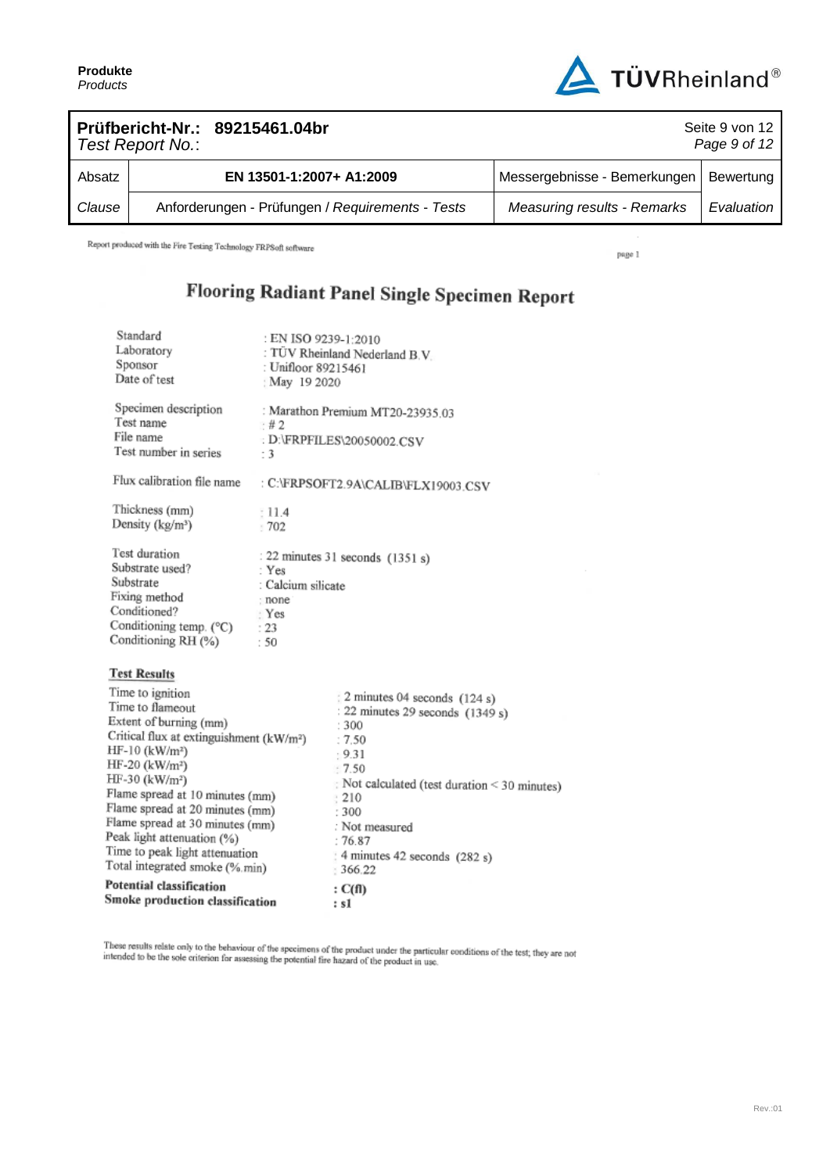**Produkte** *Products*



|        | Test Report No.: | Prüfbericht-Nr.: 89215461.04br                   |                                    | Seite 9 von 12<br>Page 9 of 12 |
|--------|------------------|--------------------------------------------------|------------------------------------|--------------------------------|
| Absatz |                  | EN 13501-1:2007+ A1:2009                         | Messergebnisse - Bemerkungen       | Bewertung                      |
| Clause |                  | Anforderungen - Prüfungen / Requirements - Tests | <b>Measuring results - Remarks</b> | Evaluation                     |

Report produced with the Fire Testing Technology FRPSoft software

page 1

 $\overline{\phantom{a}}$ 

# Flooring Radiant Panel Single Specimen Report

| Standard<br>Laboratory<br>Sponsor<br>Date of test                                                                                                                                                                                                                                                                                                                                                                             | : EN ISO 9239-1:2010<br>: Unifloor 89215461<br>: May 19 2020                                       | : TÜV Rheinland Nederland B.V.                                                                                                                                                                                                                               |  |  |
|-------------------------------------------------------------------------------------------------------------------------------------------------------------------------------------------------------------------------------------------------------------------------------------------------------------------------------------------------------------------------------------------------------------------------------|----------------------------------------------------------------------------------------------------|--------------------------------------------------------------------------------------------------------------------------------------------------------------------------------------------------------------------------------------------------------------|--|--|
| Specimen description<br>Test name<br>File name<br>Test number in series                                                                                                                                                                                                                                                                                                                                                       | : Marathon Premium MT20-23935.03<br>: #2<br>: D:\FRPFILES\20050002.CSV<br>- 3                      |                                                                                                                                                                                                                                                              |  |  |
| Flux calibration file name                                                                                                                                                                                                                                                                                                                                                                                                    |                                                                                                    | : C:\FRPSOFT2.9A\CALIB\FLX19003.CSV                                                                                                                                                                                                                          |  |  |
| Thickness (mm)<br>Density (kg/m <sup>3</sup> )                                                                                                                                                                                                                                                                                                                                                                                | : 11.4<br>1702                                                                                     |                                                                                                                                                                                                                                                              |  |  |
| Test duration<br>Substrate used?<br>Substrate<br>Fixing method<br>Conditioned?<br>Conditioning temp. $(^{\circ}C)$<br>Conditioning RH (%)                                                                                                                                                                                                                                                                                     | : 22 minutes 31 seconds $(1351 s)$<br>: Yes<br>: Calcium silicate<br>: none<br>Yes:<br>: 23<br>:50 |                                                                                                                                                                                                                                                              |  |  |
| <b>Test Results</b>                                                                                                                                                                                                                                                                                                                                                                                                           |                                                                                                    |                                                                                                                                                                                                                                                              |  |  |
| Time to ignition<br>Time to flameout<br>Extent of burning (mm)<br>Critical flux at extinguishment (kW/m <sup>2</sup> )<br>HF-10 (kW/m <sup>2</sup> )<br>$HF-20$ (kW/m <sup>2</sup> )<br>HF-30 (kW/m <sup>2</sup> )<br>Flame spread at 10 minutes (mm)<br>Flame spread at 20 minutes (mm)<br>Flame spread at 30 minutes (mm)<br>Peak light attenuation (%)<br>Time to peak light attenuation<br>Total integrated smoke (%.min) |                                                                                                    | 2 minutes 04 seconds (124 s)<br>: 22 minutes 29 seconds (1349 s)<br>: 300<br>:7.50<br>$-9.31$<br>:7.50<br>Not calculated (test duration < 30 minutes)<br>: 210<br>:300<br>: Not measured<br>:76.87<br>$\frac{1}{2}$ 4 minutes 42 seconds (282 s)<br>: 366.22 |  |  |
| Potential classification<br>Smoke production classification                                                                                                                                                                                                                                                                                                                                                                   |                                                                                                    | : C(f)<br>: s1                                                                                                                                                                                                                                               |  |  |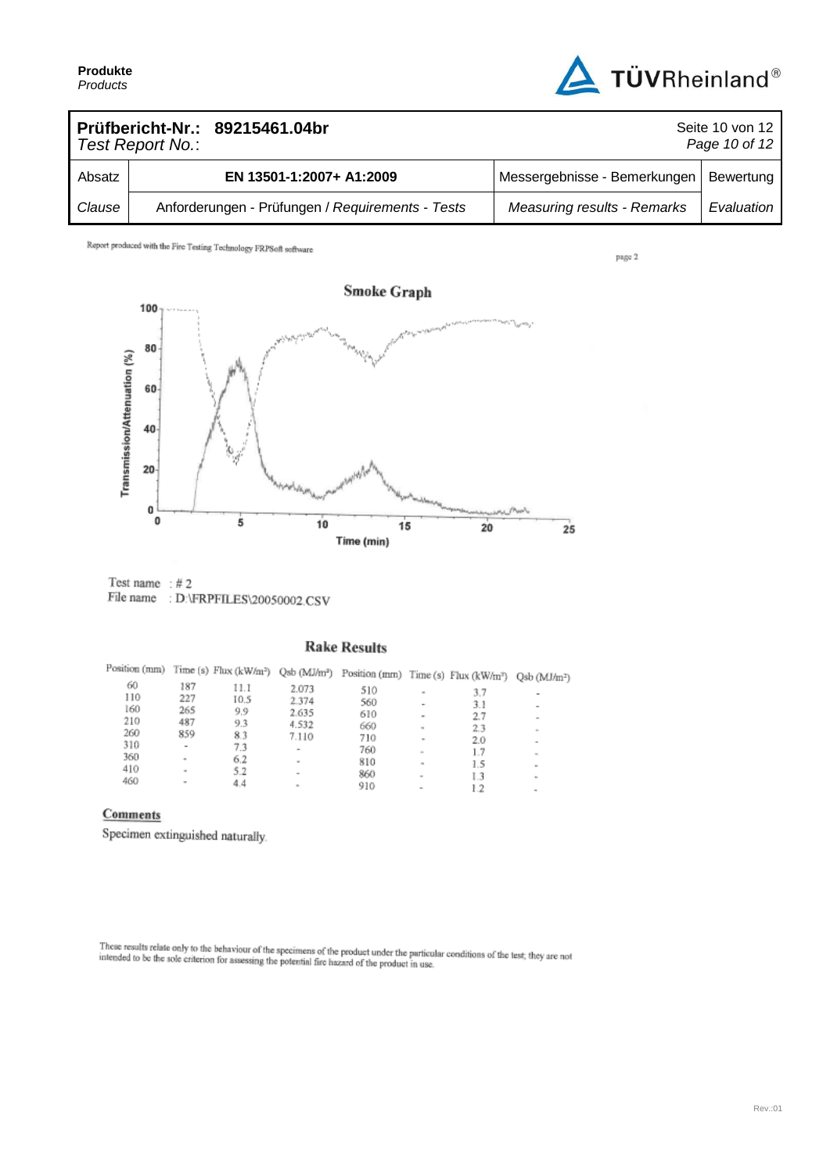

| Prüfbericht-Nr.: 89215461.04br<br>Test Report No.: |  |                                                  | Seite 10 von 12<br>Page 10 of 12   |            |
|----------------------------------------------------|--|--------------------------------------------------|------------------------------------|------------|
| Absatz                                             |  | EN 13501-1:2007+ A1:2009                         | Messergebnisse - Bemerkungen       | Bewertung  |
| Clause                                             |  | Anforderungen - Prüfungen / Requirements - Tests | <b>Measuring results - Remarks</b> | Evaluation |

page 2



Test name  $: #2$ File name : D:\FRPFILES\20050002.CSV

#### **Rake Results**

| Position (mm) |        |      |                          | Time (s) Flux (kW/m <sup>2</sup> ) Qsb (MJ/m <sup>2</sup> ) Position (mm) Time (s) Flux (kW/m <sup>2</sup> ) |                          |     | Qsb (MJ/m <sup>2</sup> ) |
|---------------|--------|------|--------------------------|--------------------------------------------------------------------------------------------------------------|--------------------------|-----|--------------------------|
| 60            | 187    | 11.1 | 2.073                    | 510                                                                                                          |                          | 3.7 | ۰                        |
| 110           | 227    | 10.5 | 2.374                    | 560                                                                                                          | $\sim$                   | 3.1 | $\qquad \qquad$          |
| 160           | 265    | 9.9  | 2.635                    | 610                                                                                                          | ۰                        | 2.7 | $\overline{\phantom{a}}$ |
| 210           | 487    | 9.3  | 4.532                    | 660                                                                                                          | $\sim$                   | 2.3 | $\equiv$                 |
| 260           | 859    | 83   | 7.110                    | 710                                                                                                          | $\overline{\phantom{a}}$ | 2.0 |                          |
| 310           | $\,$   | 7.3  | ۰                        | 760                                                                                                          | $\sim$                   | 1.7 |                          |
| 360           | $\,$   | 6.2  | ×                        | 810                                                                                                          | $\sim$                   | 1.5 | ۰                        |
| 410           | $\sim$ | 5.2  | $\overline{\phantom{a}}$ | 860                                                                                                          | $\sim$                   | 1.3 | ×.                       |
| 460           | ۰      | 4.4  | $\sim$                   | 910                                                                                                          | $\overline{\phantom{a}}$ | 1.2 | ۰                        |

#### Comments

Specimen extinguished naturally.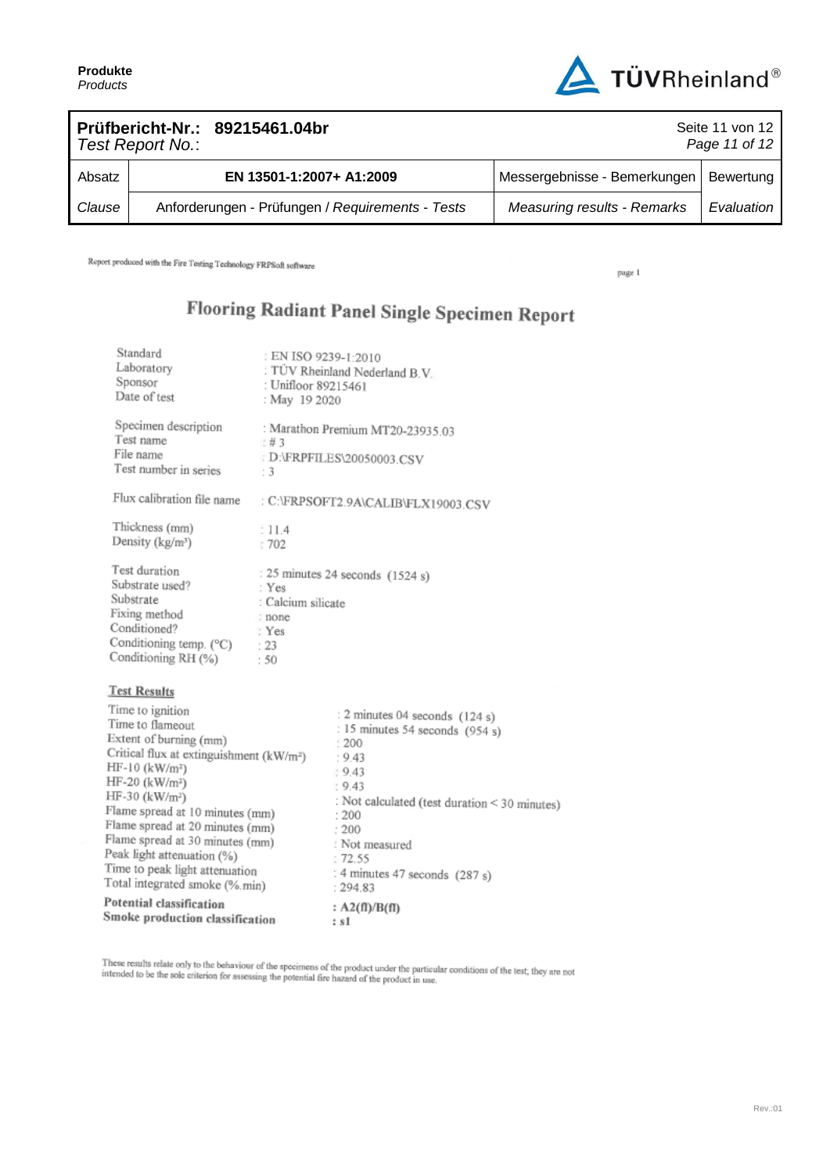

| Prüfbericht-Nr.: 89215461.04br<br>Test Report No.: |  |                                                  | Seite 11 von 12<br>Page 11 of 12   |            |
|----------------------------------------------------|--|--------------------------------------------------|------------------------------------|------------|
| Absatz                                             |  | EN 13501-1:2007+ A1:2009                         | Messergebnisse - Bemerkungen       | Bewertung  |
| Clause                                             |  | Anforderungen - Prüfungen / Requirements - Tests | <b>Measuring results - Remarks</b> | Evaluation |

page 1

## Flooring Radiant Panel Single Specimen Report

| Standard<br>Laboratory<br>Sponsor<br>Date of test                                                                                                      | EN ISO 9239-1:2010<br>: Unifloor 89215461<br>: May 19 2020    | : TUV Rheinland Nederland B.V.                                                                 |
|--------------------------------------------------------------------------------------------------------------------------------------------------------|---------------------------------------------------------------|------------------------------------------------------------------------------------------------|
| Specimen description<br>Test name<br>File name<br>Test number in series                                                                                | : 43<br>: 3                                                   | : Marathon Premium MT20-23935.03<br>: D:\FRPFILES\20050003.CSV                                 |
| Flux calibration file name                                                                                                                             |                                                               | : C:\FRPSOFT2.9A\CALIB\FLX19003.CSV                                                            |
| Thickness (mm)<br>Density ( $kg/m3$ )                                                                                                                  | : 11.4<br>1702                                                |                                                                                                |
| Test duration<br>Substrate used?<br>Substrate<br>Fixing method<br>Conditioned?<br>Conditioning temp. (°C)<br>Conditioning RH (%)                       | : Yes<br>: Calcium silicate<br>: none<br>: Yes<br>: 23<br>:50 | : 25 minutes 24 seconds $(1524 s)$                                                             |
| <b>Test Results</b>                                                                                                                                    |                                                               |                                                                                                |
| Time to ignition<br>Time to flameout<br>Extent of burning (mm)<br>Critical flux at extinguishment (kW/m <sup>2</sup> )<br>$HF-10$ (kW/m <sup>2</sup> ) |                                                               | : 2 minutes 04 seconds (124 s)<br>: 15 minutes 54 seconds (954 s)<br>: 200<br>: 9.43<br>: 9.43 |
| $HF-20$ (kW/m <sup>2</sup> )<br>HF-30 (kW/m <sup>2</sup> )<br>Flame spread at 10 minutes (mm)                                                          |                                                               | : 9.43<br>: Not calculated (test duration < 30 minutes)<br>: 200                               |
| Flame spread at 20 minutes (mm)<br>Flame spread at 30 minutes (mm)<br>Peak light attenuation (%)                                                       |                                                               | : 200<br>: Not measured<br>: 72.55                                                             |
| Time to peak light attenuation<br>Total integrated smoke (%.min)                                                                                       |                                                               | : 4 minutes 47 seconds (287 s)<br>: 294.83                                                     |

Potential classification Smoke production classification

These results relate only to the behaviour of the specimens of the product under the particular conditions of the test; they are not intended to be the sole criterion for assessing the potential fire bazard of the product

 $: s1$ 

:  $A2(fI)/B(fI)$